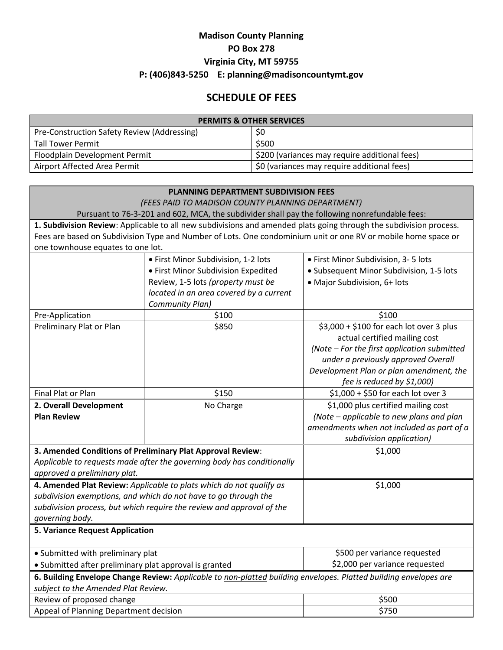## **Madison County Planning PO Box 278 Virginia City, MT 59755 P: (406)843-5250 E: planning@madisoncountymt.gov**

## **SCHEDULE OF FEES**

| <b>PERMITS &amp; OTHER SERVICES</b>         |                                               |  |  |
|---------------------------------------------|-----------------------------------------------|--|--|
| Pre-Construction Safety Review (Addressing) | S0                                            |  |  |
| <b>Tall Tower Permit</b>                    | \$500                                         |  |  |
| Floodplain Development Permit               | \$200 (variances may require additional fees) |  |  |
| Airport Affected Area Permit                | \$0 (variances may require additional fees)   |  |  |

| <b>PLANNING DEPARTMENT SUBDIVISION FEES</b>                                                                                                             |                                         |                                                                                       |  |  |
|---------------------------------------------------------------------------------------------------------------------------------------------------------|-----------------------------------------|---------------------------------------------------------------------------------------|--|--|
| (FEES PAID TO MADISON COUNTY PLANNING DEPARTMENT)                                                                                                       |                                         |                                                                                       |  |  |
| Pursuant to 76-3-201 and 602, MCA, the subdivider shall pay the following nonrefundable fees:                                                           |                                         |                                                                                       |  |  |
| 1. Subdivision Review: Applicable to all new subdivisions and amended plats going through the subdivision process.                                      |                                         |                                                                                       |  |  |
| Fees are based on Subdivision Type and Number of Lots. One condominium unit or one RV or mobile home space or                                           |                                         |                                                                                       |  |  |
| one townhouse equates to one lot.                                                                                                                       |                                         |                                                                                       |  |  |
|                                                                                                                                                         | · First Minor Subdivision, 1-2 lots     | • First Minor Subdivision, 3-5 lots                                                   |  |  |
|                                                                                                                                                         | • First Minor Subdivision Expedited     | • Subsequent Minor Subdivision, 1-5 lots                                              |  |  |
|                                                                                                                                                         | Review, 1-5 lots (property must be      | • Major Subdivision, 6+ lots                                                          |  |  |
|                                                                                                                                                         | located in an area covered by a current |                                                                                       |  |  |
|                                                                                                                                                         | Community Plan)                         |                                                                                       |  |  |
| Pre-Application                                                                                                                                         | \$100                                   | \$100                                                                                 |  |  |
| Preliminary Plat or Plan                                                                                                                                | \$850                                   | $$3,000 + $100$ for each lot over 3 plus                                              |  |  |
|                                                                                                                                                         |                                         | actual certified mailing cost                                                         |  |  |
|                                                                                                                                                         |                                         | (Note - For the first application submitted                                           |  |  |
|                                                                                                                                                         |                                         | under a previously approved Overall                                                   |  |  |
|                                                                                                                                                         |                                         | Development Plan or plan amendment, the<br>fee is reduced by \$1,000)                 |  |  |
| Final Plat or Plan                                                                                                                                      | \$150                                   | \$1,000 + \$50 for each lot over 3                                                    |  |  |
|                                                                                                                                                         |                                         |                                                                                       |  |  |
| 2. Overall Development<br><b>Plan Review</b>                                                                                                            | No Charge                               | \$1,000 plus certified mailing cost                                                   |  |  |
|                                                                                                                                                         |                                         | (Note - applicable to new plans and plan<br>amendments when not included as part of a |  |  |
|                                                                                                                                                         |                                         | subdivision application)                                                              |  |  |
| 3. Amended Conditions of Preliminary Plat Approval Review:                                                                                              |                                         | \$1,000                                                                               |  |  |
|                                                                                                                                                         |                                         |                                                                                       |  |  |
| Applicable to requests made after the governing body has conditionally<br>approved a preliminary plat.                                                  |                                         |                                                                                       |  |  |
| \$1,000                                                                                                                                                 |                                         |                                                                                       |  |  |
| 4. Amended Plat Review: Applicable to plats which do not qualify as                                                                                     |                                         |                                                                                       |  |  |
| subdivision exemptions, and which do not have to go through the<br>subdivision process, but which require the review and approval of the                |                                         |                                                                                       |  |  |
| governing body.                                                                                                                                         |                                         |                                                                                       |  |  |
| <b>5. Variance Request Application</b>                                                                                                                  |                                         |                                                                                       |  |  |
|                                                                                                                                                         |                                         |                                                                                       |  |  |
| • Submitted with preliminary plat                                                                                                                       |                                         | \$500 per variance requested                                                          |  |  |
| • Submitted after preliminary plat approval is granted                                                                                                  |                                         | \$2,000 per variance requested                                                        |  |  |
| 6. Building Envelope Change Review: Applicable to non-platted building envelopes. Platted building envelopes are<br>subject to the Amended Plat Review. |                                         |                                                                                       |  |  |
| Review of proposed change                                                                                                                               |                                         | \$500                                                                                 |  |  |
| Appeal of Planning Department decision                                                                                                                  |                                         | \$750                                                                                 |  |  |
|                                                                                                                                                         |                                         |                                                                                       |  |  |